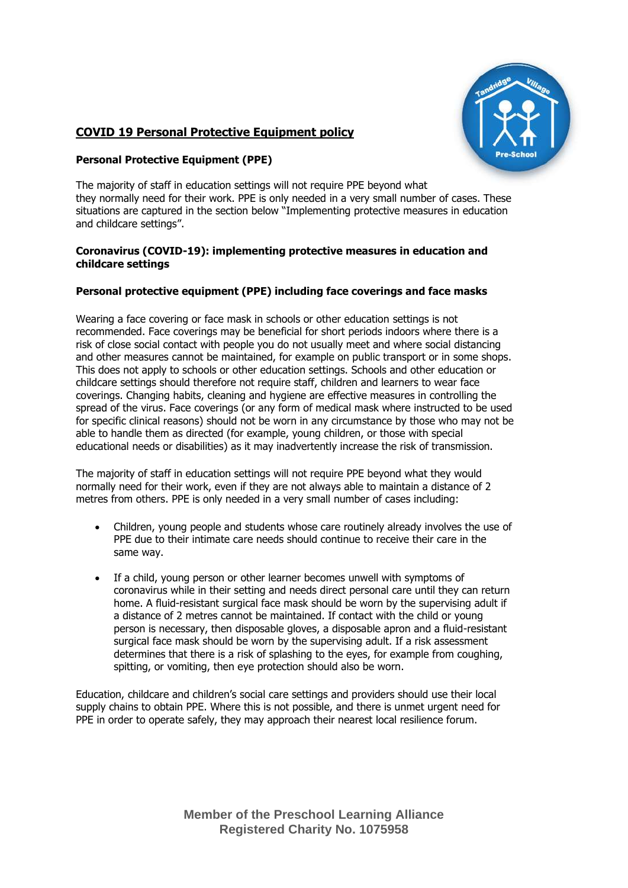

# **COVID 19 Personal Protective Equipment policy**

## **Personal Protective Equipment (PPE)**

The majority of staff in education settings will not require PPE beyond what they normally need for their work. PPE is only needed in a very small number of cases. These situations are captured in the section below "Implementing protective measures in education and childcare settings".

### **Coronavirus (COVID-19): implementing protective measures in education and childcare settings**

# **Personal protective equipment (PPE) including face coverings and face masks**

Wearing a face covering or face mask in schools or other education settings is not recommended. Face coverings may be beneficial for short periods indoors where there is a risk of close social contact with people you do not usually meet and where social distancing and other measures cannot be maintained, for example on public transport or in some shops. This does not apply to schools or other education settings. Schools and other education or childcare settings should therefore not require staff, children and learners to wear face coverings. Changing habits, cleaning and hygiene are effective measures in controlling the spread of the virus. Face coverings (or any form of medical mask where instructed to be used for specific clinical reasons) should not be worn in any circumstance by those who may not be able to handle them as directed (for example, young children, or those with special educational needs or disabilities) as it may inadvertently increase the risk of transmission.

The majority of staff in education settings will not require PPE beyond what they would normally need for their work, even if they are not always able to maintain a distance of 2 metres from others. PPE is only needed in a very small number of cases including:

- Children, young people and students whose care routinely already involves the use of PPE due to their intimate care needs should continue to receive their care in the same way.
- If a child, young person or other learner becomes unwell with symptoms of coronavirus while in their setting and needs direct personal care until they can return home. A fluid-resistant surgical face mask should be worn by the supervising adult if a distance of 2 metres cannot be maintained. If contact with the child or young person is necessary, then disposable gloves, a disposable apron and a fluid-resistant surgical face mask should be worn by the supervising adult. If a risk assessment determines that there is a risk of splashing to the eyes, for example from coughing, spitting, or vomiting, then eye protection should also be worn.

Education, childcare and children's social care settings and providers should use their local supply chains to obtain PPE. Where this is not possible, and there is unmet urgent need for PPE in order to operate safely, they may approach their nearest local resilience forum.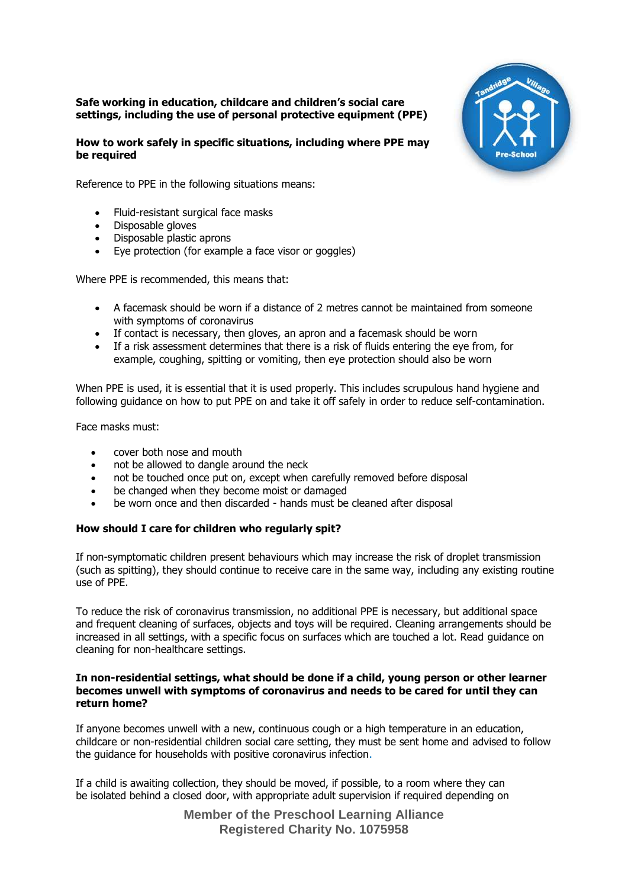#### **Safe working in education, childcare and children's social care settings, including the use of personal protective equipment (PPE)**

## **How to work safely in specific situations, including where PPE may be required**



Reference to PPE in the following situations means:

- Fluid-resistant surgical face masks
- Disposable gloves
- Disposable plastic aprons
- Eye protection (for example a face visor or goggles)

Where PPE is recommended, this means that:

- A facemask should be worn if a distance of 2 metres cannot be maintained from someone with symptoms of coronavirus
- If contact is necessary, then gloves, an apron and a facemask should be worn
- If a risk assessment determines that there is a risk of fluids entering the eye from, for example, coughing, spitting or vomiting, then eye protection should also be worn

When PPE is used, it is essential that it is used properly. This includes scrupulous hand hygiene and following guidance on how to put PPE on and take it off safely in order to reduce self-contamination.

Face masks must:

- cover both nose and mouth
- not be allowed to dangle around the neck
- not be touched once put on, except when carefully removed before disposal
- be changed when they become moist or damaged
- be worn once and then discarded hands must be cleaned after disposal

#### **How should I care for children who regularly spit?**

If non-symptomatic children present behaviours which may increase the risk of droplet transmission (such as spitting), they should continue to receive care in the same way, including any existing routine use of PPE.

To reduce the risk of coronavirus transmission, no additional PPE is necessary, but additional space and frequent cleaning of surfaces, objects and toys will be required. Cleaning arrangements should be increased in all settings, with a specific focus on surfaces which are touched a lot. Read guidance on cleaning for non-healthcare settings.

#### **In non-residential settings, what should be done if a child, young person or other learner becomes unwell with symptoms of coronavirus and needs to be cared for until they can return home?**

If anyone becomes unwell with a new, continuous cough or a high temperature in an education, childcare or non-residential children social care setting, they must be sent home and advised to follow the guidance for households with positive coronavirus infection.

If a child is awaiting collection, they should be moved, if possible, to a room where they can be isolated behind a closed door, with appropriate adult supervision if required depending on

> **Member of the Preschool Learning Alliance Registered Charity No. 1075958**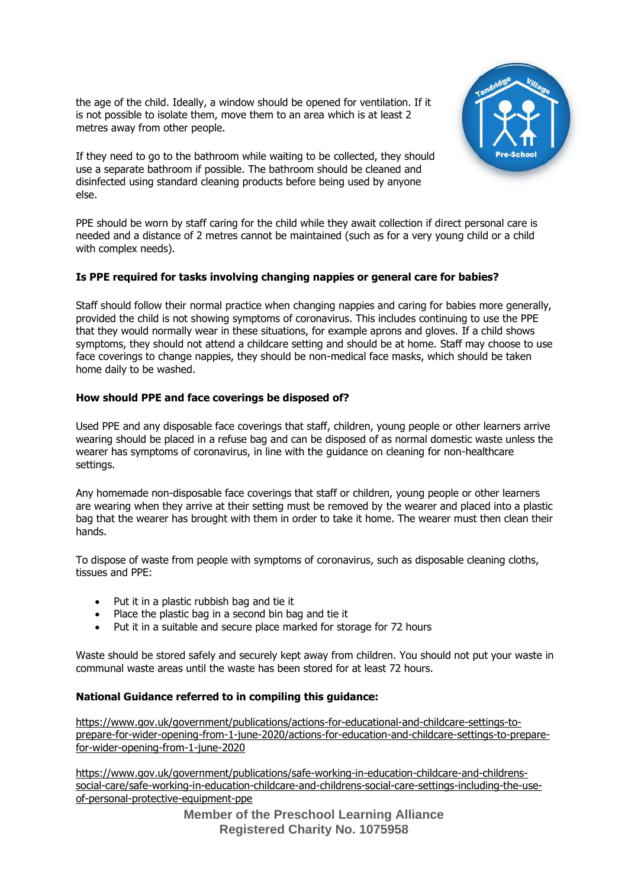the age of the child. Ideally, a window should be opened for ventilation. If it is not possible to isolate them, move them to an area which is at least 2 metres away from other people.

If they need to go to the bathroom while waiting to be collected, they should use a separate bathroom if possible. The bathroom should be cleaned and disinfected using standard cleaning products before being used by anyone else.



PPE should be worn by staff caring for the child while they await collection if direct personal care is needed and a distance of 2 metres cannot be maintained (such as for a very young child or a child with complex needs).

# **Is PPE required for tasks involving changing nappies or general care for babies?**

Staff should follow their normal practice when changing nappies and caring for babies more generally, provided the child is not showing symptoms of coronavirus. This includes continuing to use the PPE that they would normally wear in these situations, for example aprons and gloves. If a child shows symptoms, they should not attend a childcare setting and should be at home. Staff may choose to use face coverings to change nappies, they should be non-medical face masks, which should be taken home daily to be washed.

## **How should PPE and face coverings be disposed of?**

Used PPE and any disposable face coverings that staff, children, young people or other learners arrive wearing should be placed in a refuse bag and can be disposed of as normal domestic waste unless the wearer has symptoms of coronavirus, in line with the guidance on cleaning for non-healthcare settings.

Any homemade non-disposable face coverings that staff or children, young people or other learners are wearing when they arrive at their setting must be removed by the wearer and placed into a plastic bag that the wearer has brought with them in order to take it home. The wearer must then clean their hands.

To dispose of waste from people with symptoms of coronavirus, such as disposable cleaning cloths, tissues and PPE:

- Put it in a plastic rubbish bag and tie it
- Place the plastic bag in a second bin bag and tie it
- Put it in a suitable and secure place marked for storage for 72 hours

Waste should be stored safely and securely kept away from children. You should not put your waste in communal waste areas until the waste has been stored for at least 72 hours.

#### **National Guidance referred to in compiling this guidance:**

[https://www.gov.uk/government/publications/actions-for-educational-and-childcare-settings-to](https://www.gov.uk/government/publications/actions-for-educational-and-childcare-settings-to-prepare-for-wider-opening-from-1-june-2020/actions-for-education-and-childcare-settings-to-prepare-for-wider-opening-from-1-june-2020)[prepare-for-wider-opening-from-1-june-2020/actions-for-education-and-childcare-settings-to-prepare](https://www.gov.uk/government/publications/actions-for-educational-and-childcare-settings-to-prepare-for-wider-opening-from-1-june-2020/actions-for-education-and-childcare-settings-to-prepare-for-wider-opening-from-1-june-2020)[for-wider-opening-from-1-june-2020](https://www.gov.uk/government/publications/actions-for-educational-and-childcare-settings-to-prepare-for-wider-opening-from-1-june-2020/actions-for-education-and-childcare-settings-to-prepare-for-wider-opening-from-1-june-2020)

[https://www.gov.uk/government/publications/safe-working-in-education-childcare-and-childrens](https://www.gov.uk/government/publications/safe-working-in-education-childcare-and-childrens-social-care/safe-working-in-education-childcare-and-childrens-social-care-settings-including-the-use-of-personal-protective-equipment-ppe)[social-care/safe-working-in-education-childcare-and-childrens-social-care-settings-including-the-use](https://www.gov.uk/government/publications/safe-working-in-education-childcare-and-childrens-social-care/safe-working-in-education-childcare-and-childrens-social-care-settings-including-the-use-of-personal-protective-equipment-ppe)[of-personal-protective-equipment-ppe](https://www.gov.uk/government/publications/safe-working-in-education-childcare-and-childrens-social-care/safe-working-in-education-childcare-and-childrens-social-care-settings-including-the-use-of-personal-protective-equipment-ppe)

> **Member of the Preschool Learning Alliance Registered Charity No. 1075958**